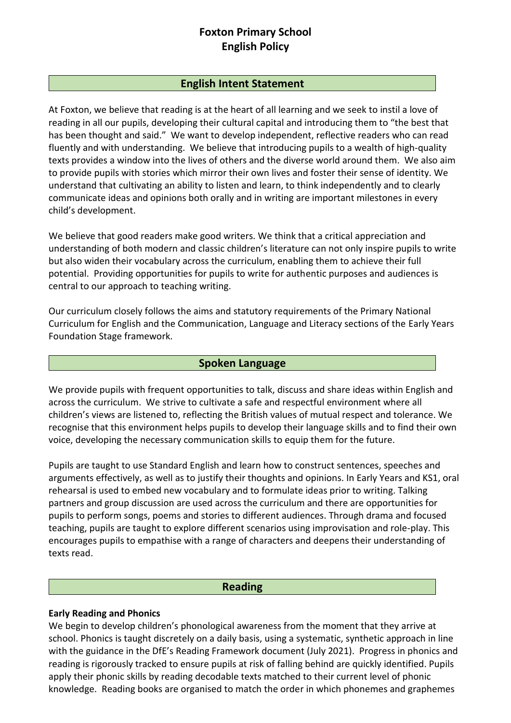# **Foxton Primary School English Policy**

### **English Intent Statement**

At Foxton, we believe that reading is at the heart of all learning and we seek to instil a love of reading in all our pupils, developing their cultural capital and introducing them to "the best that has been thought and said." We want to develop independent, reflective readers who can read fluently and with understanding. We believe that introducing pupils to a wealth of high-quality texts provides a window into the lives of others and the diverse world around them. We also aim to provide pupils with stories which mirror their own lives and foster their sense of identity. We understand that cultivating an ability to listen and learn, to think independently and to clearly communicate ideas and opinions both orally and in writing are important milestones in every child's development.

We believe that good readers make good writers. We think that a critical appreciation and understanding of both modern and classic children's literature can not only inspire pupils to write but also widen their vocabulary across the curriculum, enabling them to achieve their full potential. Providing opportunities for pupils to write for authentic purposes and audiences is central to our approach to teaching writing.

Our curriculum closely follows the aims and statutory requirements of the Primary National Curriculum for English and the Communication, Language and Literacy sections of the Early Years Foundation Stage framework.

### **Spoken Language**

We provide pupils with frequent opportunities to talk, discuss and share ideas within English and across the curriculum. We strive to cultivate a safe and respectful environment where all children's views are listened to, reflecting the British values of mutual respect and tolerance. We recognise that this environment helps pupils to develop their language skills and to find their own voice, developing the necessary communication skills to equip them for the future.

Pupils are taught to use Standard English and learn how to construct sentences, speeches and arguments effectively, as well as to justify their thoughts and opinions. In Early Years and KS1, oral rehearsal is used to embed new vocabulary and to formulate ideas prior to writing. Talking partners and group discussion are used across the curriculum and there are opportunities for pupils to perform songs, poems and stories to different audiences. Through drama and focused teaching, pupils are taught to explore different scenarios using improvisation and role-play. This encourages pupils to empathise with a range of characters and deepens their understanding of texts read.

#### **Reading**

### **Early Reading and Phonics**

We begin to develop children's phonological awareness from the moment that they arrive at school. Phonics is taught discretely on a daily basis, using a systematic, synthetic approach in line with the guidance in the DfE's Reading Framework document (July 2021). Progress in phonics and reading is rigorously tracked to ensure pupils at risk of falling behind are quickly identified. Pupils apply their phonic skills by reading decodable texts matched to their current level of phonic knowledge. Reading books are organised to match the order in which phonemes and graphemes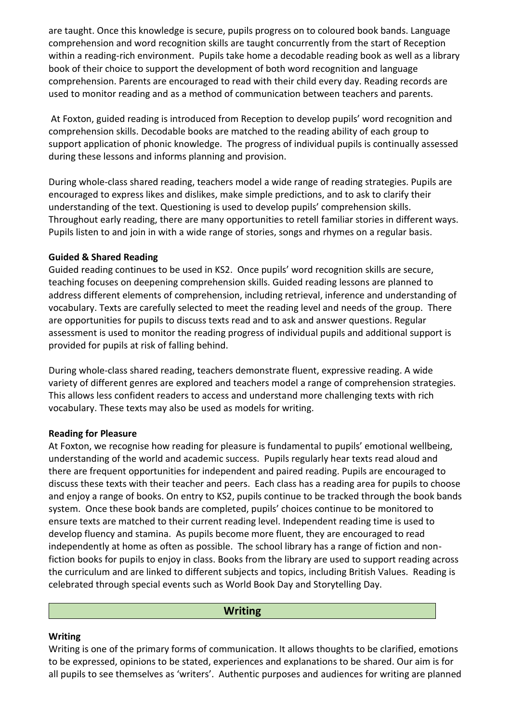are taught. Once this knowledge is secure, pupils progress on to coloured book bands. Language comprehension and word recognition skills are taught concurrently from the start of Reception within a reading-rich environment. Pupils take home a decodable reading book as well as a library book of their choice to support the development of both word recognition and language comprehension. Parents are encouraged to read with their child every day. Reading records are used to monitor reading and as a method of communication between teachers and parents.

At Foxton, guided reading is introduced from Reception to develop pupils' word recognition and comprehension skills. Decodable books are matched to the reading ability of each group to support application of phonic knowledge. The progress of individual pupils is continually assessed during these lessons and informs planning and provision.

During whole-class shared reading, teachers model a wide range of reading strategies. Pupils are encouraged to express likes and dislikes, make simple predictions, and to ask to clarify their understanding of the text. Questioning is used to develop pupils' comprehension skills. Throughout early reading, there are many opportunities to retell familiar stories in different ways. Pupils listen to and join in with a wide range of stories, songs and rhymes on a regular basis.

#### **Guided & Shared Reading**

Guided reading continues to be used in KS2. Once pupils' word recognition skills are secure, teaching focuses on deepening comprehension skills. Guided reading lessons are planned to address different elements of comprehension, including retrieval, inference and understanding of vocabulary. Texts are carefully selected to meet the reading level and needs of the group. There are opportunities for pupils to discuss texts read and to ask and answer questions. Regular assessment is used to monitor the reading progress of individual pupils and additional support is provided for pupils at risk of falling behind.

During whole-class shared reading, teachers demonstrate fluent, expressive reading. A wide variety of different genres are explored and teachers model a range of comprehension strategies. This allows less confident readers to access and understand more challenging texts with rich vocabulary. These texts may also be used as models for writing.

### **Reading for Pleasure**

At Foxton, we recognise how reading for pleasure is fundamental to pupils' emotional wellbeing, understanding of the world and academic success. Pupils regularly hear texts read aloud and there are frequent opportunities for independent and paired reading. Pupils are encouraged to discuss these texts with their teacher and peers. Each class has a reading area for pupils to choose and enjoy a range of books. On entry to KS2, pupils continue to be tracked through the book bands system. Once these book bands are completed, pupils' choices continue to be monitored to ensure texts are matched to their current reading level. Independent reading time is used to develop fluency and stamina. As pupils become more fluent, they are encouraged to read independently at home as often as possible. The school library has a range of fiction and nonfiction books for pupils to enjoy in class. Books from the library are used to support reading across the curriculum and are linked to different subjects and topics, including British Values. Reading is celebrated through special events such as World Book Day and Storytelling Day.

#### **Writing**

#### **Writing**

Writing is one of the primary forms of communication. It allows thoughts to be clarified, emotions to be expressed, opinions to be stated, experiences and explanations to be shared. Our aim is for all pupils to see themselves as 'writers'. Authentic purposes and audiences for writing are planned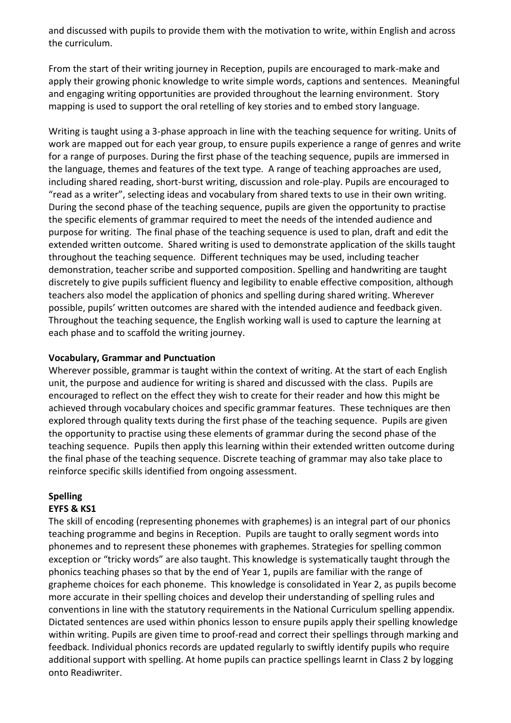and discussed with pupils to provide them with the motivation to write, within English and across the curriculum.

From the start of their writing journey in Reception, pupils are encouraged to mark-make and apply their growing phonic knowledge to write simple words, captions and sentences. Meaningful and engaging writing opportunities are provided throughout the learning environment. Story mapping is used to support the oral retelling of key stories and to embed story language.

Writing is taught using a 3-phase approach in line with the teaching sequence for writing. Units of work are mapped out for each year group, to ensure pupils experience a range of genres and write for a range of purposes. During the first phase of the teaching sequence, pupils are immersed in the language, themes and features of the text type. A range of teaching approaches are used, including shared reading, short-burst writing, discussion and role-play. Pupils are encouraged to "read as a writer", selecting ideas and vocabulary from shared texts to use in their own writing. During the second phase of the teaching sequence, pupils are given the opportunity to practise the specific elements of grammar required to meet the needs of the intended audience and purpose for writing. The final phase of the teaching sequence is used to plan, draft and edit the extended written outcome. Shared writing is used to demonstrate application of the skills taught throughout the teaching sequence. Different techniques may be used, including teacher demonstration, teacher scribe and supported composition. Spelling and handwriting are taught discretely to give pupils sufficient fluency and legibility to enable effective composition, although teachers also model the application of phonics and spelling during shared writing. Wherever possible, pupils' written outcomes are shared with the intended audience and feedback given. Throughout the teaching sequence, the English working wall is used to capture the learning at each phase and to scaffold the writing journey.

#### **Vocabulary, Grammar and Punctuation**

Wherever possible, grammar is taught within the context of writing. At the start of each English unit, the purpose and audience for writing is shared and discussed with the class. Pupils are encouraged to reflect on the effect they wish to create for their reader and how this might be achieved through vocabulary choices and specific grammar features. These techniques are then explored through quality texts during the first phase of the teaching sequence. Pupils are given the opportunity to practise using these elements of grammar during the second phase of the teaching sequence. Pupils then apply this learning within their extended written outcome during the final phase of the teaching sequence. Discrete teaching of grammar may also take place to reinforce specific skills identified from ongoing assessment.

# **Spelling**

### **EYFS & KS1**

The skill of encoding (representing phonemes with graphemes) is an integral part of our phonics teaching programme and begins in Reception. Pupils are taught to orally segment words into phonemes and to represent these phonemes with graphemes. Strategies for spelling common exception or "tricky words" are also taught. This knowledge is systematically taught through the phonics teaching phases so that by the end of Year 1, pupils are familiar with the range of grapheme choices for each phoneme. This knowledge is consolidated in Year 2, as pupils become more accurate in their spelling choices and develop their understanding of spelling rules and conventions in line with the statutory requirements in the National Curriculum spelling appendix. Dictated sentences are used within phonics lesson to ensure pupils apply their spelling knowledge within writing. Pupils are given time to proof-read and correct their spellings through marking and feedback. Individual phonics records are updated regularly to swiftly identify pupils who require additional support with spelling. At home pupils can practice spellings learnt in Class 2 by logging onto Readiwriter.